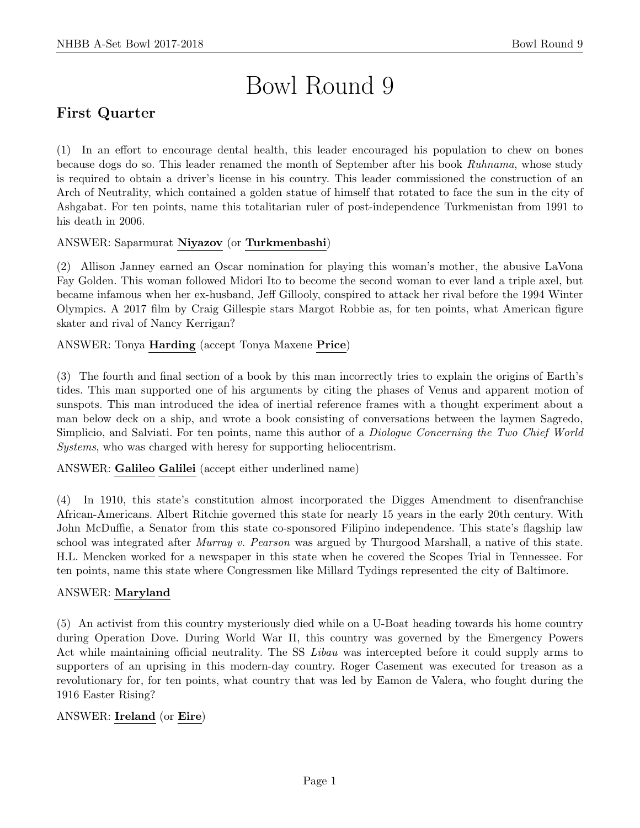# Bowl Round 9

# First Quarter

(1) In an effort to encourage dental health, this leader encouraged his population to chew on bones because dogs do so. This leader renamed the month of September after his book Ruhnama, whose study is required to obtain a driver's license in his country. This leader commissioned the construction of an Arch of Neutrality, which contained a golden statue of himself that rotated to face the sun in the city of Ashgabat. For ten points, name this totalitarian ruler of post-independence Turkmenistan from 1991 to his death in 2006.

ANSWER: Saparmurat Niyazov (or Turkmenbashi)

(2) Allison Janney earned an Oscar nomination for playing this woman's mother, the abusive LaVona Fay Golden. This woman followed Midori Ito to become the second woman to ever land a triple axel, but became infamous when her ex-husband, Jeff Gillooly, conspired to attack her rival before the 1994 Winter Olympics. A 2017 film by Craig Gillespie stars Margot Robbie as, for ten points, what American figure skater and rival of Nancy Kerrigan?

ANSWER: Tonya Harding (accept Tonya Maxene Price)

(3) The fourth and final section of a book by this man incorrectly tries to explain the origins of Earth's tides. This man supported one of his arguments by citing the phases of Venus and apparent motion of sunspots. This man introduced the idea of inertial reference frames with a thought experiment about a man below deck on a ship, and wrote a book consisting of conversations between the laymen Sagredo, Simplicio, and Salviati. For ten points, name this author of a Diologue Concerning the Two Chief World Systems, who was charged with heresy for supporting heliocentrism.

ANSWER: Galileo Galilei (accept either underlined name)

(4) In 1910, this state's constitution almost incorporated the Digges Amendment to disenfranchise African-Americans. Albert Ritchie governed this state for nearly 15 years in the early 20th century. With John McDuffie, a Senator from this state co-sponsored Filipino independence. This state's flagship law school was integrated after Murray v. Pearson was argued by Thurgood Marshall, a native of this state. H.L. Mencken worked for a newspaper in this state when he covered the Scopes Trial in Tennessee. For ten points, name this state where Congressmen like Millard Tydings represented the city of Baltimore.

# ANSWER: Maryland

(5) An activist from this country mysteriously died while on a U-Boat heading towards his home country during Operation Dove. During World War II, this country was governed by the Emergency Powers Act while maintaining official neutrality. The SS Libau was intercepted before it could supply arms to supporters of an uprising in this modern-day country. Roger Casement was executed for treason as a revolutionary for, for ten points, what country that was led by Eamon de Valera, who fought during the 1916 Easter Rising?

# ANSWER: Ireland (or Eire)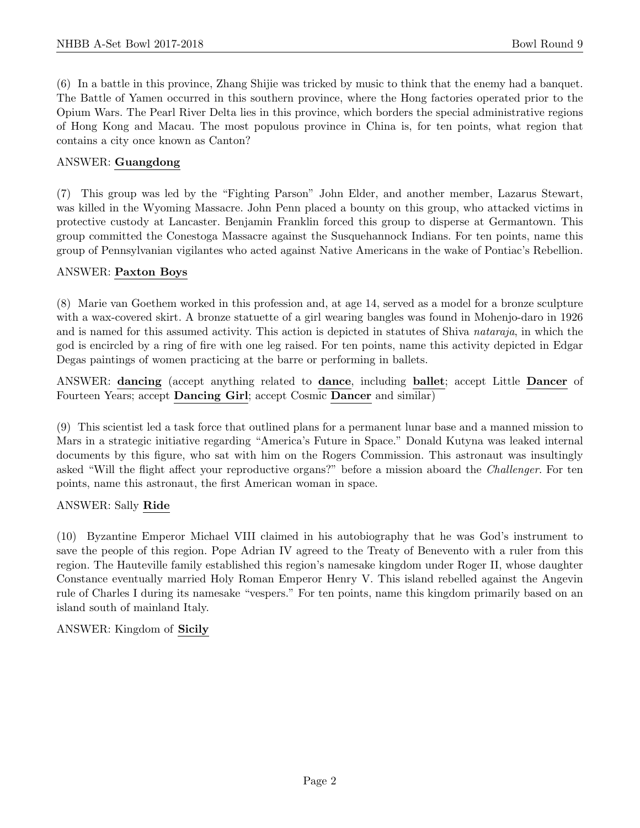(6) In a battle in this province, Zhang Shijie was tricked by music to think that the enemy had a banquet. The Battle of Yamen occurred in this southern province, where the Hong factories operated prior to the Opium Wars. The Pearl River Delta lies in this province, which borders the special administrative regions of Hong Kong and Macau. The most populous province in China is, for ten points, what region that contains a city once known as Canton?

# ANSWER: Guangdong

(7) This group was led by the "Fighting Parson" John Elder, and another member, Lazarus Stewart, was killed in the Wyoming Massacre. John Penn placed a bounty on this group, who attacked victims in protective custody at Lancaster. Benjamin Franklin forced this group to disperse at Germantown. This group committed the Conestoga Massacre against the Susquehannock Indians. For ten points, name this group of Pennsylvanian vigilantes who acted against Native Americans in the wake of Pontiac's Rebellion.

# ANSWER: Paxton Boys

(8) Marie van Goethem worked in this profession and, at age 14, served as a model for a bronze sculpture with a wax-covered skirt. A bronze statuette of a girl wearing bangles was found in Mohenjo-daro in 1926 and is named for this assumed activity. This action is depicted in statutes of Shiva nataraja, in which the god is encircled by a ring of fire with one leg raised. For ten points, name this activity depicted in Edgar Degas paintings of women practicing at the barre or performing in ballets.

ANSWER: dancing (accept anything related to dance, including ballet; accept Little Dancer of Fourteen Years; accept Dancing Girl; accept Cosmic Dancer and similar)

(9) This scientist led a task force that outlined plans for a permanent lunar base and a manned mission to Mars in a strategic initiative regarding "America's Future in Space." Donald Kutyna was leaked internal documents by this figure, who sat with him on the Rogers Commission. This astronaut was insultingly asked "Will the flight affect your reproductive organs?" before a mission aboard the Challenger. For ten points, name this astronaut, the first American woman in space.

# ANSWER: Sally Ride

(10) Byzantine Emperor Michael VIII claimed in his autobiography that he was God's instrument to save the people of this region. Pope Adrian IV agreed to the Treaty of Benevento with a ruler from this region. The Hauteville family established this region's namesake kingdom under Roger II, whose daughter Constance eventually married Holy Roman Emperor Henry V. This island rebelled against the Angevin rule of Charles I during its namesake "vespers." For ten points, name this kingdom primarily based on an island south of mainland Italy.

# ANSWER: Kingdom of Sicily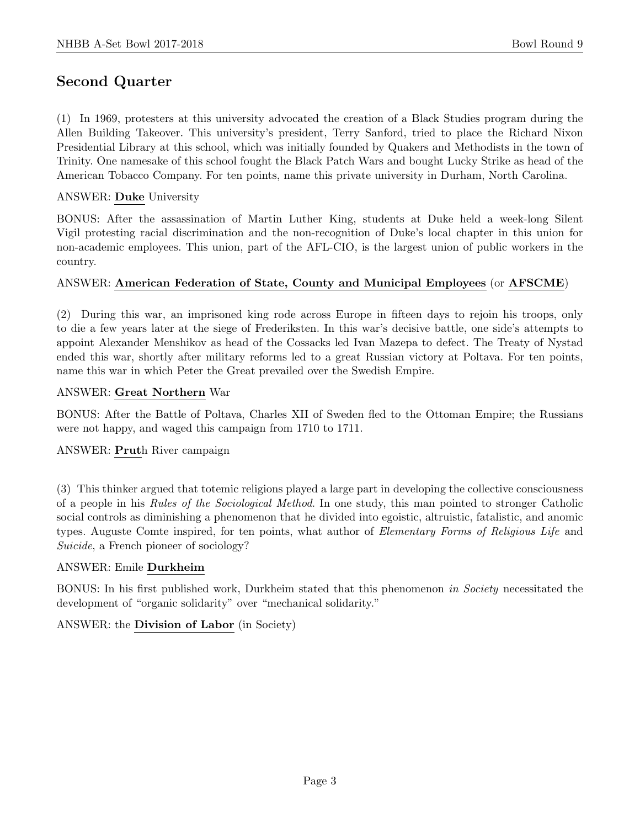# Second Quarter

(1) In 1969, protesters at this university advocated the creation of a Black Studies program during the Allen Building Takeover. This university's president, Terry Sanford, tried to place the Richard Nixon Presidential Library at this school, which was initially founded by Quakers and Methodists in the town of Trinity. One namesake of this school fought the Black Patch Wars and bought Lucky Strike as head of the American Tobacco Company. For ten points, name this private university in Durham, North Carolina.

#### ANSWER: Duke University

BONUS: After the assassination of Martin Luther King, students at Duke held a week-long Silent Vigil protesting racial discrimination and the non-recognition of Duke's local chapter in this union for non-academic employees. This union, part of the AFL-CIO, is the largest union of public workers in the country.

#### ANSWER: American Federation of State, County and Municipal Employees (or AFSCME)

(2) During this war, an imprisoned king rode across Europe in fifteen days to rejoin his troops, only to die a few years later at the siege of Frederiksten. In this war's decisive battle, one side's attempts to appoint Alexander Menshikov as head of the Cossacks led Ivan Mazepa to defect. The Treaty of Nystad ended this war, shortly after military reforms led to a great Russian victory at Poltava. For ten points, name this war in which Peter the Great prevailed over the Swedish Empire.

#### ANSWER: Great Northern War

BONUS: After the Battle of Poltava, Charles XII of Sweden fled to the Ottoman Empire; the Russians were not happy, and waged this campaign from 1710 to 1711.

#### ANSWER: Pruth River campaign

(3) This thinker argued that totemic religions played a large part in developing the collective consciousness of a people in his Rules of the Sociological Method. In one study, this man pointed to stronger Catholic social controls as diminishing a phenomenon that he divided into egoistic, altruistic, fatalistic, and anomic types. Auguste Comte inspired, for ten points, what author of Elementary Forms of Religious Life and Suicide, a French pioneer of sociology?

#### ANSWER: Emile Durkheim

BONUS: In his first published work, Durkheim stated that this phenomenon in Society necessitated the development of "organic solidarity" over "mechanical solidarity."

#### ANSWER: the Division of Labor (in Society)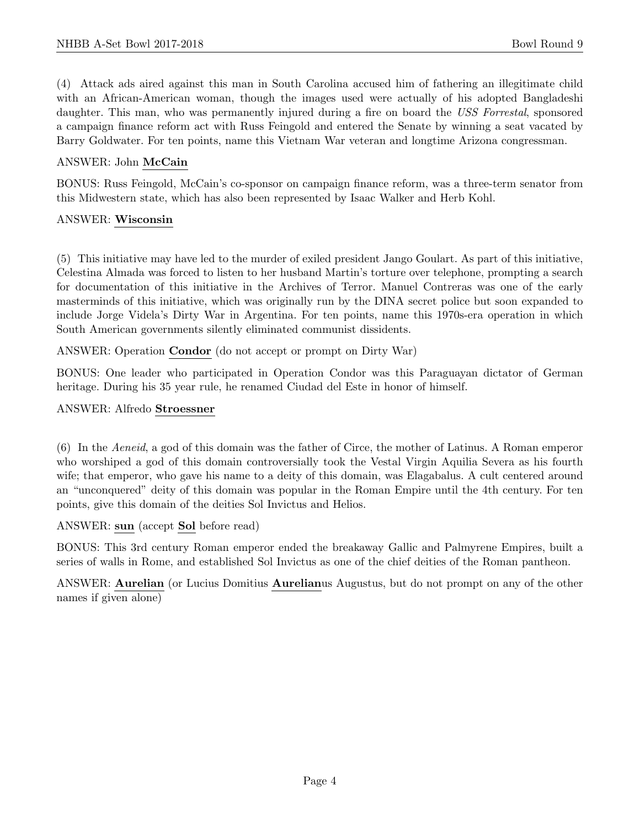(4) Attack ads aired against this man in South Carolina accused him of fathering an illegitimate child with an African-American woman, though the images used were actually of his adopted Bangladeshi daughter. This man, who was permanently injured during a fire on board the USS Forrestal, sponsored a campaign finance reform act with Russ Feingold and entered the Senate by winning a seat vacated by Barry Goldwater. For ten points, name this Vietnam War veteran and longtime Arizona congressman.

#### ANSWER: John McCain

BONUS: Russ Feingold, McCain's co-sponsor on campaign finance reform, was a three-term senator from this Midwestern state, which has also been represented by Isaac Walker and Herb Kohl.

#### ANSWER: Wisconsin

(5) This initiative may have led to the murder of exiled president Jango Goulart. As part of this initiative, Celestina Almada was forced to listen to her husband Martin's torture over telephone, prompting a search for documentation of this initiative in the Archives of Terror. Manuel Contreras was one of the early masterminds of this initiative, which was originally run by the DINA secret police but soon expanded to include Jorge Videla's Dirty War in Argentina. For ten points, name this 1970s-era operation in which South American governments silently eliminated communist dissidents.

ANSWER: Operation Condor (do not accept or prompt on Dirty War)

BONUS: One leader who participated in Operation Condor was this Paraguayan dictator of German heritage. During his 35 year rule, he renamed Ciudad del Este in honor of himself.

#### ANSWER: Alfredo Stroessner

(6) In the Aeneid, a god of this domain was the father of Circe, the mother of Latinus. A Roman emperor who worshiped a god of this domain controversially took the Vestal Virgin Aquilia Severa as his fourth wife; that emperor, who gave his name to a deity of this domain, was Elagabalus. A cult centered around an "unconquered" deity of this domain was popular in the Roman Empire until the 4th century. For ten points, give this domain of the deities Sol Invictus and Helios.

#### ANSWER: sun (accept Sol before read)

BONUS: This 3rd century Roman emperor ended the breakaway Gallic and Palmyrene Empires, built a series of walls in Rome, and established Sol Invictus as one of the chief deities of the Roman pantheon.

ANSWER: Aurelian (or Lucius Domitius Aurelianus Augustus, but do not prompt on any of the other names if given alone)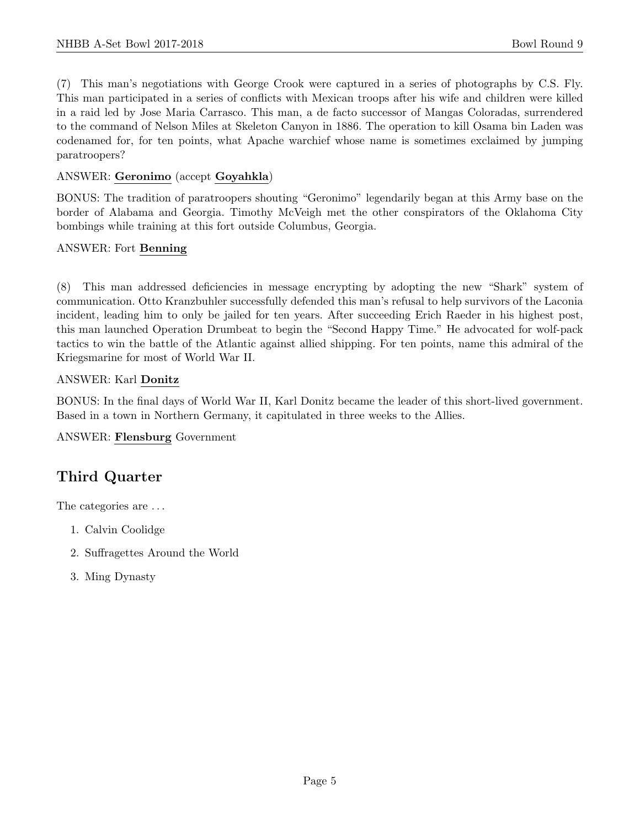(7) This man's negotiations with George Crook were captured in a series of photographs by C.S. Fly. This man participated in a series of conflicts with Mexican troops after his wife and children were killed in a raid led by Jose Maria Carrasco. This man, a de facto successor of Mangas Coloradas, surrendered to the command of Nelson Miles at Skeleton Canyon in 1886. The operation to kill Osama bin Laden was codenamed for, for ten points, what Apache warchief whose name is sometimes exclaimed by jumping paratroopers?

# ANSWER: Geronimo (accept Goyahkla)

BONUS: The tradition of paratroopers shouting "Geronimo" legendarily began at this Army base on the border of Alabama and Georgia. Timothy McVeigh met the other conspirators of the Oklahoma City bombings while training at this fort outside Columbus, Georgia.

# ANSWER: Fort Benning

(8) This man addressed deficiencies in message encrypting by adopting the new "Shark" system of communication. Otto Kranzbuhler successfully defended this man's refusal to help survivors of the Laconia incident, leading him to only be jailed for ten years. After succeeding Erich Raeder in his highest post, this man launched Operation Drumbeat to begin the "Second Happy Time." He advocated for wolf-pack tactics to win the battle of the Atlantic against allied shipping. For ten points, name this admiral of the Kriegsmarine for most of World War II.

# ANSWER: Karl Donitz

BONUS: In the final days of World War II, Karl Donitz became the leader of this short-lived government. Based in a town in Northern Germany, it capitulated in three weeks to the Allies.

ANSWER: Flensburg Government

# Third Quarter

The categories are . . .

- 1. Calvin Coolidge
- 2. Suffragettes Around the World
- 3. Ming Dynasty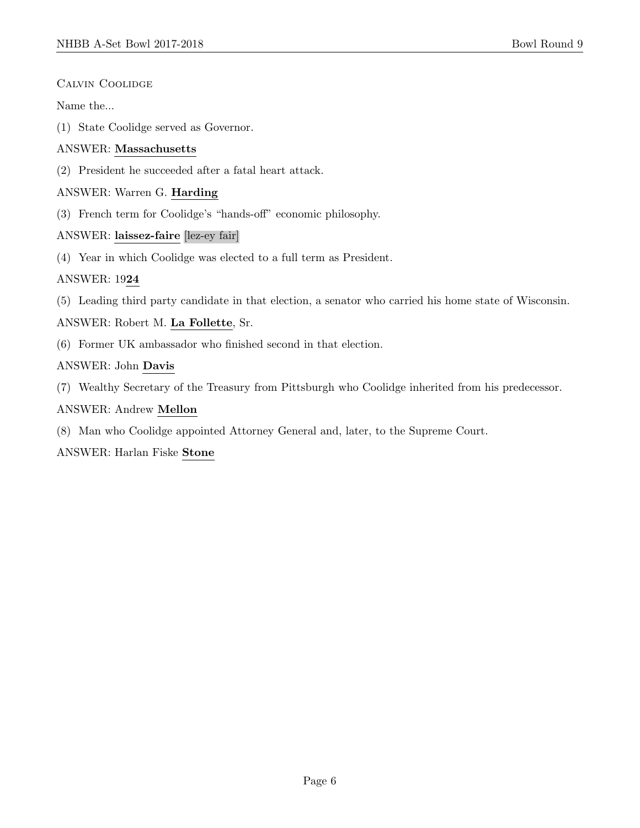#### Calvin Coolidge

Name the...

(1) State Coolidge served as Governor.

# ANSWER: Massachusetts

(2) President he succeeded after a fatal heart attack.

# ANSWER: Warren G. Harding

(3) French term for Coolidge's "hands-off" economic philosophy.

# ANSWER: laissez-faire [lez-ey fair]

(4) Year in which Coolidge was elected to a full term as President.

# ANSWER: 1924

(5) Leading third party candidate in that election, a senator who carried his home state of Wisconsin.

# ANSWER: Robert M. La Follette, Sr.

(6) Former UK ambassador who finished second in that election.

# ANSWER: John Davis

(7) Wealthy Secretary of the Treasury from Pittsburgh who Coolidge inherited from his predecessor.

#### ANSWER: Andrew Mellon

(8) Man who Coolidge appointed Attorney General and, later, to the Supreme Court.

# ANSWER: Harlan Fiske Stone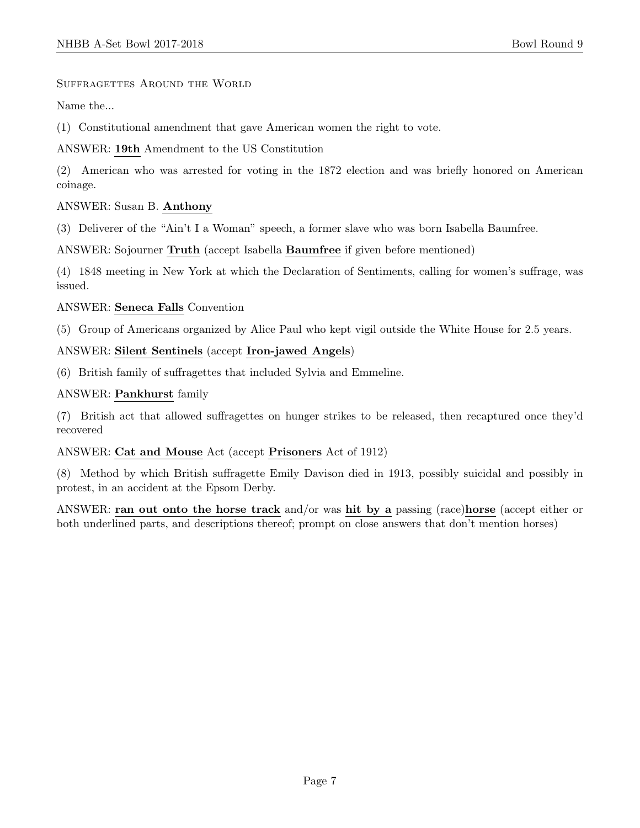#### Suffragettes Around the World

Name the...

(1) Constitutional amendment that gave American women the right to vote.

ANSWER: 19th Amendment to the US Constitution

(2) American who was arrested for voting in the 1872 election and was briefly honored on American coinage.

#### ANSWER: Susan B. Anthony

(3) Deliverer of the "Ain't I a Woman" speech, a former slave who was born Isabella Baumfree.

ANSWER: Sojourner Truth (accept Isabella Baumfree if given before mentioned)

(4) 1848 meeting in New York at which the Declaration of Sentiments, calling for women's suffrage, was issued.

#### ANSWER: Seneca Falls Convention

(5) Group of Americans organized by Alice Paul who kept vigil outside the White House for 2.5 years.

# ANSWER: Silent Sentinels (accept Iron-jawed Angels)

(6) British family of suffragettes that included Sylvia and Emmeline.

#### ANSWER: Pankhurst family

(7) British act that allowed suffragettes on hunger strikes to be released, then recaptured once they'd recovered

# ANSWER: Cat and Mouse Act (accept Prisoners Act of 1912)

(8) Method by which British suffragette Emily Davison died in 1913, possibly suicidal and possibly in protest, in an accident at the Epsom Derby.

ANSWER: ran out onto the horse track and/or was hit by a passing (race)horse (accept either or both underlined parts, and descriptions thereof; prompt on close answers that don't mention horses)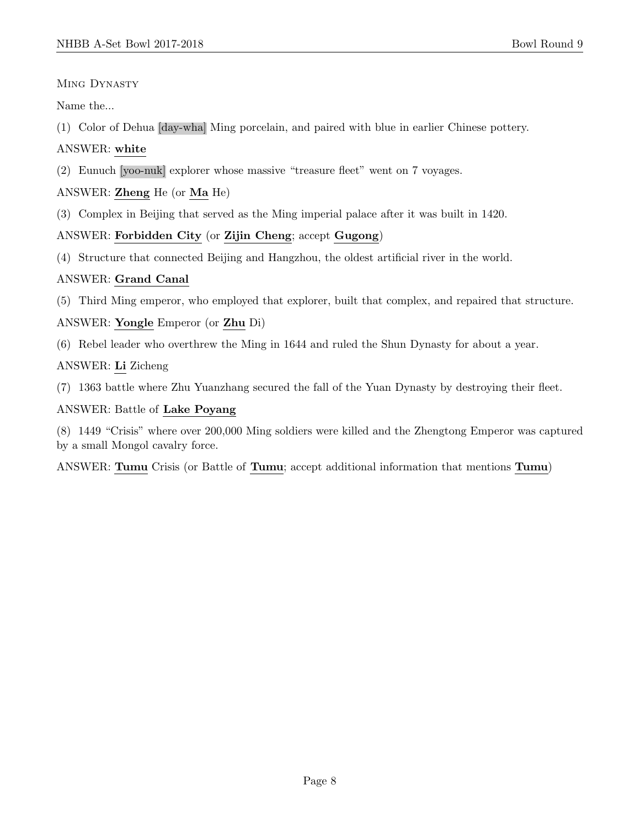# MING DYNASTY

Name the...

(1) Color of Dehua [day-wha] Ming porcelain, and paired with blue in earlier Chinese pottery.

# ANSWER: white

(2) Eunuch [yoo-nuk] explorer whose massive "treasure fleet" went on 7 voyages.

# ANSWER: Zheng He (or Ma He)

(3) Complex in Beijing that served as the Ming imperial palace after it was built in 1420.

# ANSWER: Forbidden City (or Zijin Cheng; accept Gugong)

(4) Structure that connected Beijing and Hangzhou, the oldest artificial river in the world.

# ANSWER: Grand Canal

(5) Third Ming emperor, who employed that explorer, built that complex, and repaired that structure.

# ANSWER: Yongle Emperor (or Zhu Di)

(6) Rebel leader who overthrew the Ming in 1644 and ruled the Shun Dynasty for about a year.

# ANSWER: Li Zicheng

(7) 1363 battle where Zhu Yuanzhang secured the fall of the Yuan Dynasty by destroying their fleet.

# ANSWER: Battle of Lake Poyang

(8) 1449 "Crisis" where over 200,000 Ming soldiers were killed and the Zhengtong Emperor was captured by a small Mongol cavalry force.

ANSWER: Tumu Crisis (or Battle of Tumu; accept additional information that mentions Tumu)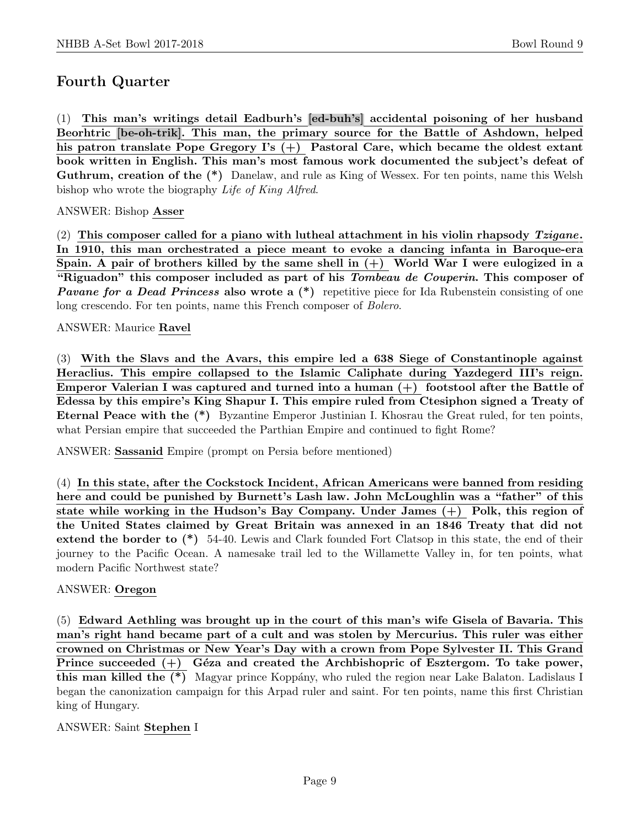# Fourth Quarter

(1) This man's writings detail Eadburh's [ed-buh's] accidental poisoning of her husband Beorhtric [be-oh-trik]. This man, the primary source for the Battle of Ashdown, helped his patron translate Pope Gregory I's  $(+)$  Pastoral Care, which became the oldest extant book written in English. This man's most famous work documented the subject's defeat of Guthrum, creation of the  $(*)$  Danelaw, and rule as King of Wessex. For ten points, name this Welsh bishop who wrote the biography Life of King Alfred.

ANSWER: Bishop Asser

(2) This composer called for a piano with lutheal attachment in his violin rhapsody  $Tzigane$ . In 1910, this man orchestrated a piece meant to evoke a dancing infanta in Baroque-era Spain. A pair of brothers killed by the same shell in  $(+)$  World War I were eulogized in a "Riguadon" this composer included as part of his *Tombeau de Couperin*. This composer of **Pavane for a Dead Princess also wrote a** (\*) repetitive piece for Ida Rubenstein consisting of one long crescendo. For ten points, name this French composer of Bolero.

ANSWER: Maurice Ravel

(3) With the Slavs and the Avars, this empire led a 638 Siege of Constantinople against Heraclius. This empire collapsed to the Islamic Caliphate during Yazdegerd III's reign. Emperor Valerian I was captured and turned into a human (+) footstool after the Battle of Edessa by this empire's King Shapur I. This empire ruled from Ctesiphon signed a Treaty of Eternal Peace with the (\*) Byzantine Emperor Justinian I. Khosrau the Great ruled, for ten points, what Persian empire that succeeded the Parthian Empire and continued to fight Rome?

ANSWER: Sassanid Empire (prompt on Persia before mentioned)

(4) In this state, after the Cockstock Incident, African Americans were banned from residing here and could be punished by Burnett's Lash law. John McLoughlin was a "father" of this state while working in the Hudson's Bay Company. Under James (+) Polk, this region of the United States claimed by Great Britain was annexed in an 1846 Treaty that did not extend the border to (\*) 54-40. Lewis and Clark founded Fort Clatsop in this state, the end of their journey to the Pacific Ocean. A namesake trail led to the Willamette Valley in, for ten points, what modern Pacific Northwest state?

# ANSWER: Oregon

(5) Edward Aethling was brought up in the court of this man's wife Gisela of Bavaria. This man's right hand became part of a cult and was stolen by Mercurius. This ruler was either crowned on Christmas or New Year's Day with a crown from Pope Sylvester II. This Grand Prince succeeded  $(+)$  Géza and created the Archbishopric of Esztergom. To take power, this man killed the (\*) Magyar prince Koppány, who ruled the region near Lake Balaton. Ladislaus I began the canonization campaign for this Arpad ruler and saint. For ten points, name this first Christian king of Hungary.

# ANSWER: Saint Stephen I